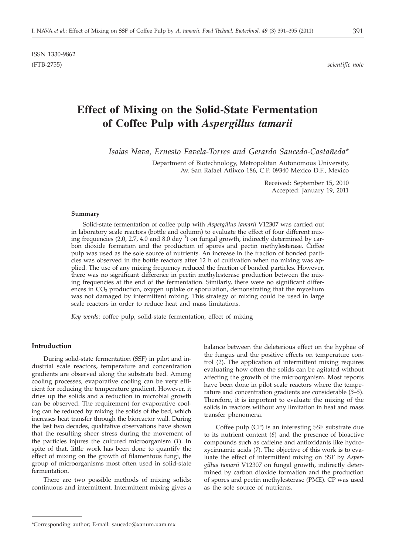# **Effect of Mixing on the Solid-State Fermentation of Coffee Pulp with** *Aspergillus tamarii*

*Isaias Nava, Ernesto Favela-Torres and Gerardo Saucedo-Castañeda\**

Department of Biotechnology, Metropolitan Autonomous University, Av. San Rafael Atlixco 186, C.P. 09340 Mexico D.F., Mexico

> Received: September 15, 2010 Accepted: January 19, 2011

#### **Summary**

Solid-state fermentation of coffee pulp with *Aspergillus tamarii* V12307 was carried out in laboratory scale reactors (bottle and column) to evaluate the effect of four different mixing frequencies (2.0, 2.7, 4.0 and 8.0 day<sup>-1</sup>) on fungal growth, indirectly determined by carbon dioxide formation and the production of spores and pectin methylesterase. Coffee pulp was used as the sole source of nutrients. An increase in the fraction of bonded particles was observed in the bottle reactors after 12 h of cultivation when no mixing was applied. The use of any mixing frequency reduced the fraction of bonded particles. However, there was no significant difference in pectin methylesterase production between the mixing frequencies at the end of the fermentation. Similarly, there were no significant differences in  $CO<sub>2</sub>$  production, oxygen uptake or sporulation, demonstrating that the mycelium was not damaged by intermittent mixing. This strategy of mixing could be used in large scale reactors in order to reduce heat and mass limitations.

*Key words*: coffee pulp, solid-state fermentation, effect of mixing

## **Introduction**

During solid-state fermentation (SSF) in pilot and industrial scale reactors, temperature and concentration gradients are observed along the substrate bed. Among cooling processes, evaporative cooling can be very efficient for reducing the temperature gradient. However, it dries up the solids and a reduction in microbial growth can be observed. The requirement for evaporative cooling can be reduced by mixing the solids of the bed, which increases heat transfer through the bioreactor wall. During the last two decades, qualitative observations have shown that the resulting sheer stress during the movement of the particles injures the cultured microorganism (*1*). In spite of that, little work has been done to quantify the effect of mixing on the growth of filamentous fungi, the group of microorganisms most often used in solid-state fermentation.

There are two possible methods of mixing solids: continuous and intermittent. Intermittent mixing gives a

balance between the deleterious effect on the hyphae of the fungus and the positive effects on temperature control (*2*). The application of intermittent mixing requires evaluating how often the solids can be agitated without affecting the growth of the microorganism. Most reports have been done in pilot scale reactors where the temperature and concentration gradients are considerable (*3–5*). Therefore, it is important to evaluate the mixing of the solids in reactors without any limitation in heat and mass transfer phenomena.

Coffee pulp (CP) is an interesting SSF substrate due to its nutrient content (*6*) and the presence of bioactive compounds such as caffeine and antioxidants like hydroxycinnamic acids (*7*). The objective of this work is to evaluate the effect of intermittent mixing on SSF by *Aspergillus tamarii* V12307 on fungal growth, indirectly determined by carbon dioxide formation and the production of spores and pectin methylesterase (PME). CP was used as the sole source of nutrients.

<sup>\*</sup>Corresponding author; E-mail: saucedo@xanum.uam.mx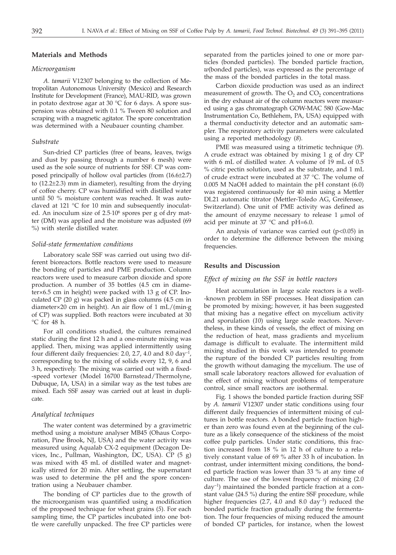### **Materials and Methods**

#### *Microorganism*

*A. tamarii* V12307 belonging to the collection of Metropolitan Autonomous University (Mexico) and Research Institute for Development (France), MAU-RID, was grown in potato dextrose agar at 30 °C for 6 days. A spore suspension was obtained with 0.1 % Tween 80 solution and scraping with a magnetic agitator. The spore concentration was determined with a Neubauer counting chamber.

#### *Substrate*

Sun-dried CP particles (free of beans, leaves, twigs and dust by passing through a number 6 mesh) were used as the sole source of nutrients for SSF. CP was composed principally of hollow oval particles (from (16.6±2.7) to (12.2±2.3) mm in diameter), resulting from the drying of coffee cherry. CP was humidified with distilled water until 50 % moisture content was reached. It was autoclaved at 121 °C for 10 min and subsequently inoculated. An inoculum size of 2.5 $\cdot$ 10<sup>6</sup> spores per g of dry matter (DM) was applied and the moisture was adjusted (69 %) with sterile distilled water.

## *Solid-state fermentation conditions*

Laboratory scale SSF was carried out using two different bioreactors. Bottle reactors were used to measure the bonding of particles and PME production. Column reactors were used to measure carbon dioxide and spore production. A number of 35 bottles (4.5 cm in diameter×6.5 cm in height) were packed with 13 g of CP. Inoculated CP (20 g) was packed in glass columns (4.5 cm in diameter×20 cm in height). An air flow of 1 mL/(min·g of CP) was supplied. Both reactors were incubated at 30 °C for 48 h.

For all conditions studied, the cultures remained static during the first 12 h and a one-minute mixing was applied. Then, mixing was applied intermittently using four different daily frequencies: 2.0, 2.7, 4.0 and 8.0 day<sup>-1</sup> corresponding to the mixing of solids every 12, 9, 6 and 3 h, respectively. The mixing was carried out with a fixed- -speed vortexer (Model 16700 Barnstead/Thermolyne, Dubuque, IA, USA) in a similar way as the test tubes are mixed. Each SSF assay was carried out at least in duplicate.

#### *Analytical techniques*

The water content was determined by a gravimetric method using a moisture analyser MB45 (Ohaus Corporation, Pine Brook, NJ, USA) and the water activity was measured using Aqualab CX-2 equipment (Decagon Devices, Inc., Pullman, Washington, DC, USA). CP (5 g) was mixed with 45 mL of distilled water and magnetically stirred for 20 min. After settling, the supernatant was used to determine the pH and the spore concentration using a Neubauer chamber.

The bonding of CP particles due to the growth of the microorganism was quantified using a modification of the proposed technique for wheat grains (*5*). For each sampling time, the CP particles incubated into one bottle were carefully unpacked. The free CP particles were separated from the particles joined to one or more particles (bonded particles). The bonded particle fraction, *w*(bonded particles), was expressed as the percentage of the mass of the bonded particles in the total mass.

Carbon dioxide production was used as an indirect measurement of growth. The  $O_2$  and  $CO_2$  concentrations in the dry exhaust air of the column reactors were measured using a gas chromatograph GOW-MAC 580 (Gow-Mac Instrumentation Co, Bethlehem, PA, USA) equipped with a thermal conductivity detector and an automatic sampler. The respiratory activity parameters were calculated using a reported methodology (*8*).

PME was measured using a titrimetic technique (*9*). A crude extract was obtained by mixing 1 g of dry CP with 6 mL of distilled water. A volume of 19 mL of 0.5 % citric pectin solution, used as the substrate, and 1 mL of crude extract were incubated at 37 °C. The volume of 0.005 M NaOH added to maintain the pH constant (6.0) was registered continuously for 40 min using a Mettler DL21 automatic titrator (Mettler-Toledo AG, Greifensee, Switzerland). One unit of PME activity was defined as the amount of enzyme necessary to release  $1 \mu$ mol of acid per minute at  $37$  °C and pH=6.0.

An analysis of variance was carried out  $(p<0.05)$  in order to determine the difference between the mixing frequencies.

#### **Results and Discussion**

# *Effect of mixing on the SSF in bottle reactors*

Heat accumulation in large scale reactors is a well- -known problem in SSF processes. Heat dissipation can be promoted by mixing; however, it has been suggested that mixing has a negative effect on mycelium activity and sporulation (*10*) using large scale reactors. Nevertheless, in these kinds of vessels, the effect of mixing on the reduction of heat, mass gradients and mycelium damage is difficult to evaluate. The intermittent mild mixing studied in this work was intended to promote the rupture of the bonded CP particles resulting from the growth without damaging the mycelium. The use of small scale laboratory reactors allowed for evaluation of the effect of mixing without problems of temperature control, since small reactors are isothermal.

Fig. 1 shows the bonded particle fraction during SSF by *A. tamarii* V12307 under static conditions using four different daily frequencies of intermittent mixing of cultures in bottle reactors. A bonded particle fraction higher than zero was found even at the beginning of the culture as a likely consequence of the stickiness of the moist coffee pulp particles. Under static conditions, this fraction increased from 18 % in 12 h of culture to a relatively constant value of 69 % after 33 h of incubation. In contrast, under intermittent mixing conditions, the bonded particle fraction was lower than 33 % at any time of culture. The use of the lowest frequency of mixing (2.0 day–1) maintained the bonded particle fraction at a constant value (24.5 %) during the entire SSF procedure, while higher frequencies (2.7, 4.0 and 8.0 day<sup>-1</sup>) reduced the bonded particle fraction gradually during the fermentation. The four frequencies of mixing reduced the amount of bonded CP particles, for instance, when the lowest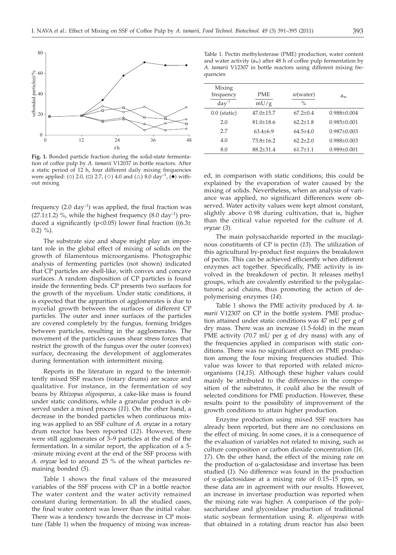

**Fig. 1.** Bonded particle fraction during the solid-state fermentation of coffee pulp by *A. tamarii* V12037 in bottle reactors. After a static period of 12 h, four different daily mixing frequencies were applied: (0) 2.0, ( $\Box$ ) 2.7, ( $\diamond$ ) 4.0 and ( $\Delta$ ) 8.0 day<sup>-1</sup>, ( $\bullet$ ) without mixing

frequency  $(2.0 \text{ day}^{-1})$  was applied, the final fraction was (27.1 $\pm$ 1.2) %, while the highest frequency (8.0 day<sup>-1</sup>) produced a significantly ( $p$ <0.05) lower final fraction ((6.3 $\pm$  $(0.2)$  %).

The substrate size and shape might play an important role in the global effect of mixing of solids on the growth of filamentous microorganisms. Photographic analysis of fermenting particles (not shown) indicated that CP particles are shell-like, with convex and concave surfaces. A random disposition of CP particles is found inside the fermenting beds. CP presents two surfaces for the growth of the mycelium. Under static conditions, it is expected that the apparition of agglomerates is due to mycelial growth between the surfaces of different CP particles. The outer and inner surfaces of the particles are covered completely by the fungus, forming bridges between particles, resulting in the agglomerates. The movement of the particles causes shear stress forces that restrict the growth of the fungus over the outer (convex) surface, decreasing the development of agglomerates during fermentation with intermittent mixing.

Reports in the literature in regard to the intermittently mixed SSF reactors (rotary drums) are scarce and qualitative. For instance, in the fermentation of soy beans by *Rhizopus oligosporus,* a cake-like mass is found under static conditions, while a granular product is observed under a mixed process (*11*). On the other hand, a decrease in the bonded particles when continuous mixing was applied to an SSF culture of *A. oryzae* in a rotary drum reactor has been reported (*12*). However, there were still agglomerates of 3–9 particles at the end of the fermentation. In a similar report, the application of a 5- -minute mixing event at the end of the SSF process with *A. oryzae* led to around 25 % of the wheat particles remaining bonded (*5*).

Table 1 shows the final values of the measured variables of the SSF process with CP in a bottle reactor. The water content and the water activity remained constant during fermentation. In all the studied cases, the final water content was lower than the initial value. There was a tendency towards the decrease in CP moisture (Table 1) when the frequency of mixing was increas-

Table 1. Pectin methylesterase (PME) production, water content and water activity  $(a_w)$  after 48 h of coffee pulp fermentation by *A. tamarii* V12307 in bottle reactors using different mixing frequencies

| Mixing<br>frequency<br>$day^{-1}$ | <b>PME</b><br>mU/g | $w$ (water)<br>$\frac{0}{0}$ | $a_w$             |
|-----------------------------------|--------------------|------------------------------|-------------------|
| $0.0$ (static)                    | $47.0 + 15.7$      | $67.2 + 0.4$                 | $0.988 + 0.004$   |
| 2.0                               | $81.0 \pm 18.6$    | $62.2 + 1.8$                 | $0.985 + 0.001$   |
| 27                                | $63.4 + 6.9$       | $64.5 + 4.0$                 | $0.987 + 0.003$   |
| 4.0                               | 73.8+16.2          | $62.2 + 2.0$                 | $0.988 + 0.003$   |
| 8.0                               | $88.2 + 31.4$      | $61.7 + 1.1$                 | $0.989 \pm 0.001$ |
|                                   |                    |                              |                   |

ed, in comparison with static conditions; this could be explained by the evaporation of water caused by the mixing of solids. Nevertheless, when an analysis of variance was applied, no significant differences were observed. Water activity values were kept almost constant, slightly above 0.98 during cultivation, that is, higher than the critical value reported for the culture of *A. oryzae* (*3*).

The main polysaccharide reported in the mucilaginous constituents of CP is pectin (*13*). The utilization of this agricultural by-product first requires the breakdown of pectin. This can be achieved efficiently when different enzymes act together. Specifically, PME activity is involved in the breakdown of pectin. It releases methyl groups, which are covalently esterified to the polygalacturonic acid chains, thus promoting the action of depolymerising enzymes (*14*).

Table 1 shows the PME activity produced by *A. tamarii* V12307 on CP in the bottle system. PME production attained under static conditions was 47 mU per g of dry mass. There was an increase (1.5-fold) in the mean PME activity (70.7 mU per g of dry mass) with any of the frequencies applied in comparison with static conditions. There was no significant effect on PME production among the four mixing frequencies studied. This value was lower to that reported with related microorganisms (*14*,*15*). Although these higher values could mainly be attributed to the differences in the composition of the substrates, it could also be the result of selected conditions for PME production. However, these results point to the possibility of improvement of the growth conditions to attain higher production.

Enzyme production using mixed SSF reactors has already been reported, but there are no conclusions on the effect of mixing. In some cases, it is a consequence of the evaluation of variables not related to mixing, such as culture composition or carbon dioxide concentration (*16, 17*). On the other hand, the effect of the mixing rate on the production of  $\alpha$ -galactosidase and invertase has been studied (*1*). No difference was found in the production of  $\alpha$ -galactosidase at a mixing rate of 0.15–15 rpm, so these data are in agreement with our results. However, an increase in invertase production was reported when the mixing rate was higher. A comparison of the polysaccharidase and glycosidase production of traditional static soybean fermentation using *R. oligosporus* with that obtained in a rotating drum reactor has also been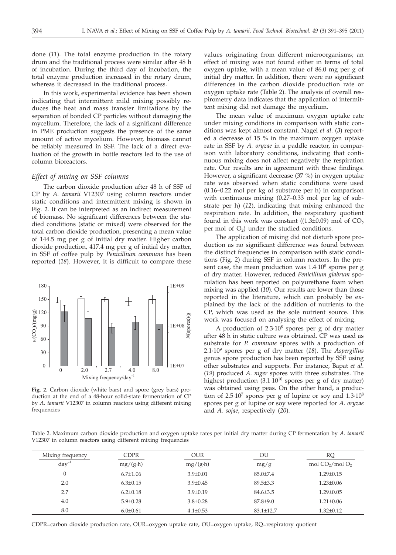done (*11*). The total enzyme production in the rotary drum and the traditional process were similar after 48 h of incubation. During the third day of incubation, the total enzyme production increased in the rotary drum, whereas it decreased in the traditional process.

In this work, experimental evidence has been shown indicating that intermittent mild mixing possibly reduces the heat and mass transfer limitations by the separation of bonded CP particles without damaging the mycelium. Therefore, the lack of a significant difference in PME production suggests the presence of the same amount of active mycelium. However, biomass cannot be reliably measured in SSF. The lack of a direct evaluation of the growth in bottle reactors led to the use of column bioreactors.

## *Effect of mixing on SSF columns*

The carbon dioxide production after 48 h of SSF of CP by *A. tamarii* V12307 using column reactors under static conditions and intermittent mixing is shown in Fig. 2. It can be interpreted as an indirect measurement of biomass. No significant differences between the studied conditions (static or mixed) were observed for the total carbon dioxide production, presenting a mean value of 144.5 mg per g of initial dry matter. Higher carbon dioxide production, 417.4 mg per g of initial dry matter, in SSF of coffee pulp by *Penicillium commune* has been reported (*18*). However, it is difficult to compare these



**Fig. 2.** Carbon dioxide (white bars) and spore (grey bars) production at the end of a 48-hour solid-state fermentation of CP by *A. tamarii* V12307 in column reactors using different mixing frequencies

values originating from different microorganisms; an effect of mixing was not found either in terms of total oxygen uptake, with a mean value of 86.0 mg per g of initial dry matter. In addition, there were no significant differences in the carbon dioxide production rate or oxygen uptake rate (Table 2). The analysis of overall respirometry data indicates that the application of intermittent mixing did not damage the mycelium.

The mean value of maximum oxygen uptake rate under mixing conditions in comparison with static conditions was kept almost constant. Nagel *et al*. (*3*) reported a decrease of 15 % in the maximum oxygen uptake rate in SSF by *A. oryzae* in a paddle reactor, in comparison with laboratory conditions, indicating that continuous mixing does not affect negatively the respiration rate. Our results are in agreement with these findings. However, a significant decrease (37 %) in oxygen uptake rate was observed when static conditions were used (0.16–0.22 mol per kg of substrate per h) in comparison with continuous mixing (0.27–0.33 mol per kg of substrate per h) (*12*), indicating that mixing enhanced the respiration rate. In addition, the respiratory quotient found in this work was constant ( $(1.3\pm0.09)$  mol of CO<sub>2</sub> per mol of  $O_2$ ) under the studied conditions.

The application of mixing did not disturb spore production as no significant difference was found between the distinct frequencies in comparison with static conditions (Fig. 2) during SSF in column reactors. In the present case, the mean production was  $1.4 \cdot 10^8$  spores per g of dry matter. However, reduced *Penicillium glabrum* sporulation has been reported on polyurethane foam when mixing was applied (*10*). Our results are lower than those reported in the literature, which can probably be explained by the lack of the addition of nutrients to the CP, which was used as the sole nutrient source. This work was focused on analysing the effect of mixing.

A production of  $2.3 \cdot 10^8$  spores per g of dry matter after 48 h in static culture was obtained. CP was used as substrate for *P. commune* spores with a production of 2.1·109 spores per g of dry matter (*18*). The *Aspergillus* genus spore production has been reported by SSF using other substrates and supports. For instance, Bapat *et al*. (*19*) produced *A. niger* spores with three substrates. The highest production  $(3.1 \cdot 10^{10}$  spores per g of dry matter) was obtained using peas. On the other hand, a production of 2.5·10<sup>7</sup> spores per g of lupine or soy and 1.3·10<sup>8</sup> spores per g of lupine or soy were reported for *A. oryzae* and *A. sojae*, respectively (*20*).

Table 2. Maximum carbon dioxide production and oxygen uptake rates per initial dry matter during CP fermentation by *A. tamarii* V12307 in column reactors using different mixing frequencies

| Mixing frequency | <b>CDPR</b>      | <b>OUR</b>       | OU              | RQ               |
|------------------|------------------|------------------|-----------------|------------------|
| $day^{-1}$       | $mg/(g \cdot h)$ | $mg/(g \cdot h)$ | mg/g            | mol $CO2/mol O2$ |
|                  | $6.7 \pm 1.06$   | $3.9 \pm 0.01$   | $85.0{\pm}7.4$  | $1.29 \pm 0.15$  |
| 2.0              | $6.3 \pm 0.15$   | $3.9 + 0.45$     | $89.5 \pm 3.3$  | $1.23 \pm 0.06$  |
| 2.7              | $6.2 \pm 0.18$   | $3.9 \pm 0.19$   | $84.6 \pm 3.5$  | $1.29 \pm 0.05$  |
| 4.0              | $5.9 \pm 0.28$   | $3.8 \pm 0.28$   | $87.8{\pm}9.0$  | $1.21 \pm 0.06$  |
| 8.0              | $6.0 \pm 0.61$   | $4.1 \pm 0.53$   | $83.1 \pm 12.7$ | $1.32 \pm 0.12$  |
|                  |                  |                  |                 |                  |

CDPR=carbon dioxide production rate, OUR=oxygen uptake rate, OU=oxygen uptake, RQ=respiratory quotient